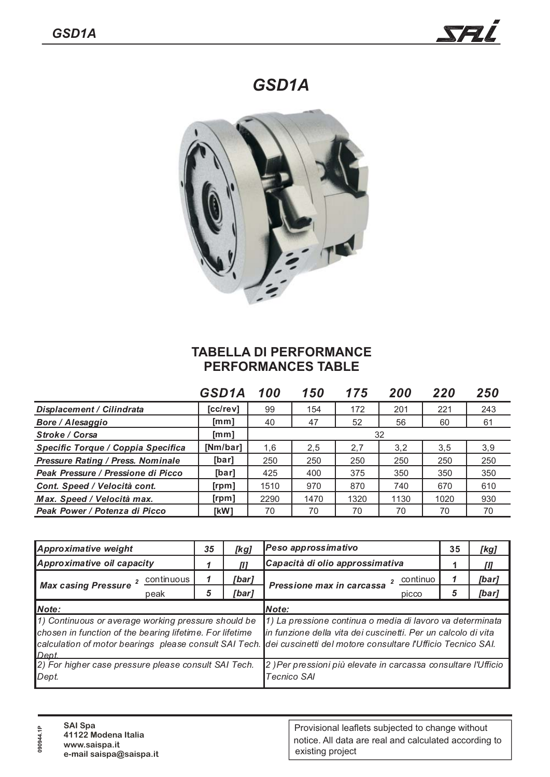*GSD1A*



## **TABELLA DI PERFORMANCE PERFORMANCES TABLE**

|                                          | GSD1A          | 100  | 150  | 175  | 200  | 220  | 250 |
|------------------------------------------|----------------|------|------|------|------|------|-----|
| Displacement / Cilindrata                | [cc/rev]       | 99   | 154  | 172  | 201  | 221  | 243 |
| Bore / Alesaggio                         | [mm]           | 40   | 47   | 52   | 56   | 60   | 61  |
| <b>Stroke / Corsa</b>                    | [mm]           | 32   |      |      |      |      |     |
| Specific Torque / Coppia Specifica       | [Nm/bar]       | 1,6  | 2,5  | 2,7  | 3,2  | 3,5  | 3,9 |
| <b>Pressure Rating / Press. Nominale</b> | [bar]          | 250  | 250  | 250  | 250  | 250  | 250 |
| Peak Pressure / Pressione di Picco       | [bar]          | 425  | 400  | 375  | 350  | 350  | 350 |
| Cont. Speed / Velocità cont.             | [rpm]          | 1510 | 970  | 870  | 740  | 670  | 610 |
| Max. Speed / Velocità max.               | [ <i>rpm</i> ] | 2290 | 1470 | 1320 | 1130 | 1020 | 930 |
| Peak Power / Potenza di Picco            | [kW]           | 70   | 70   | 70   | 70   | 70   | 70  |

| Approximative weight                                                                                                     | 35 | [kg]  | Peso approssimativo                                                                                                                                                                                                                              |   | [kg]  |  |  |  |
|--------------------------------------------------------------------------------------------------------------------------|----|-------|--------------------------------------------------------------------------------------------------------------------------------------------------------------------------------------------------------------------------------------------------|---|-------|--|--|--|
| Approximative oil capacity                                                                                               |    |       | Capacità di olio approssimativa                                                                                                                                                                                                                  |   | Ш     |  |  |  |
| continuous<br><b>Max casing Pressure</b>                                                                                 |    | [bar] | continuo<br>$\overline{2}$<br>Pressione max in carcassa                                                                                                                                                                                          |   | [bar] |  |  |  |
| peak                                                                                                                     | 5  | [bar] | picco                                                                                                                                                                                                                                            | 5 | [bar] |  |  |  |
| Note:                                                                                                                    |    |       | Note:                                                                                                                                                                                                                                            |   |       |  |  |  |
| 1) Continuous or average working pressure should be<br>chosen in function of the bearing lifetime. For lifetime<br>Dept. |    |       | 1) La pressione continua o media di lavoro va determinata<br>in funzione della vita dei cuscinetti. Per un calcolo di vita<br>calculation of motor bearings please consult SAI Tech. dei cuscinetti del motore consultare l'Ufficio Tecnico SAI. |   |       |  |  |  |
| 2) For higher case pressure please consult SAI Tech.<br>Dept.                                                            |    |       | 2) Per pressioni più elevate in carcassa consultare l'Ufficio<br><b>Tecnico SAI</b>                                                                                                                                                              |   |       |  |  |  |

| 090944.1P | <b>SAI Spa</b><br>41122 Modena Italia    |
|-----------|------------------------------------------|
|           | www.saispa.it<br>e-mail saispa@saispa.it |

## Provisional leaflets subjected to change without notice. All data are real and calculated according to existing project